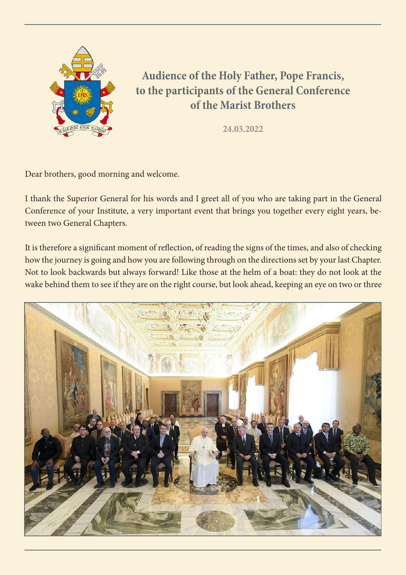

**Audience of the Holy Father, Pope Francis, to the participants of the General Conference of the Marist Brothers**

**24.03.2022**

Dear brothers, good morning and welcome.

I thank the Superior General for his words and I greet all of you who are taking part in the General Conference of your Institute, a very important event that brings you together every eight years, between two General Chapters.

It is therefore a significant moment of reflection, of reading the signs of the times, and also of checking how the journey is going and how you are following through on the directions set by your last Chapter. Not to look backwards but always forward! Like those at the helm of a boat: they do not look at the wake behind them to see if they are on the right course, but look ahead, keeping an eye on two or three

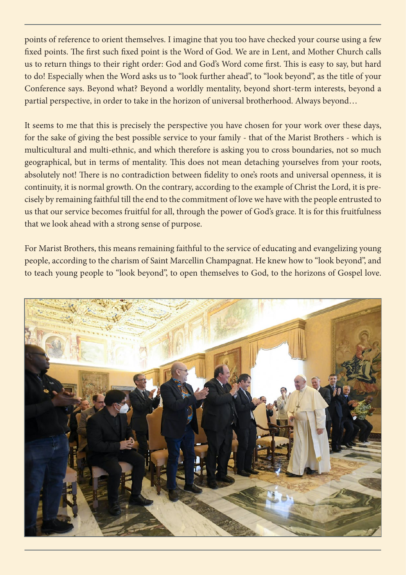points of reference to orient themselves. I imagine that you too have checked your course using a few fixed points. The first such fixed point is the Word of God. We are in Lent, and Mother Church calls us to return things to their right order: God and God's Word come first. This is easy to say, but hard to do! Especially when the Word asks us to "look further ahead", to "look beyond", as the title of your Conference says. Beyond what? Beyond a worldly mentality, beyond short-term interests, beyond a partial perspective, in order to take in the horizon of universal brotherhood. Always beyond…

It seems to me that this is precisely the perspective you have chosen for your work over these days, for the sake of giving the best possible service to your family - that of the Marist Brothers - which is multicultural and multi-ethnic, and which therefore is asking you to cross boundaries, not so much geographical, but in terms of mentality. This does not mean detaching yourselves from your roots, absolutely not! There is no contradiction between fidelity to one's roots and universal openness, it is continuity, it is normal growth. On the contrary, according to the example of Christ the Lord, it is precisely by remaining faithful till the end to the commitment of love we have with the people entrusted to us that our service becomes fruitful for all, through the power of God's grace. It is for this fruitfulness that we look ahead with a strong sense of purpose.

For Marist Brothers, this means remaining faithful to the service of educating and evangelizing young people, according to the charism of Saint Marcellin Champagnat. He knew how to "look beyond", and to teach young people to "look beyond", to open themselves to God, to the horizons of Gospel love.

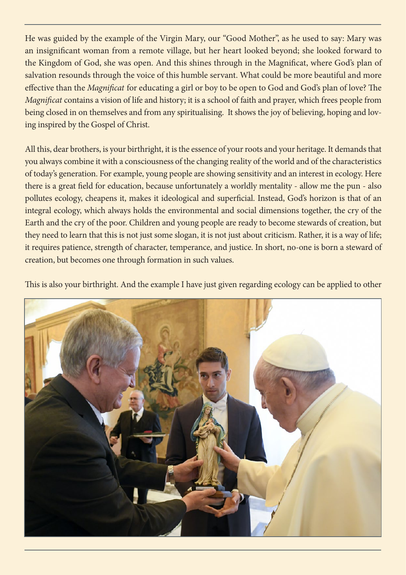He was guided by the example of the Virgin Mary, our "Good Mother", as he used to say: Mary was an insignificant woman from a remote village, but her heart looked beyond; she looked forward to the Kingdom of God, she was open. And this shines through in the Magnificat, where God's plan of salvation resounds through the voice of this humble servant. What could be more beautiful and more effective than the *Magnificat* for educating a girl or boy to be open to God and God's plan of love? The *Magnificat* contains a vision of life and history; it is a school of faith and prayer, which frees people from being closed in on themselves and from any spiritualising. It shows the joy of believing, hoping and loving inspired by the Gospel of Christ.

All this, dear brothers, is your birthright, it is the essence of your roots and your heritage. It demands that you always combine it with a consciousness of the changing reality of the world and of the characteristics of today's generation. For example, young people are showing sensitivity and an interest in ecology. Here there is a great field for education, because unfortunately a worldly mentality - allow me the pun - also pollutes ecology, cheapens it, makes it ideological and superficial. Instead, God's horizon is that of an integral ecology, which always holds the environmental and social dimensions together, the cry of the Earth and the cry of the poor. Children and young people are ready to become stewards of creation, but they need to learn that this is not just some slogan, it is not just about criticism. Rather, it is a way of life; it requires patience, strength of character, temperance, and justice. In short, no-one is born a steward of creation, but becomes one through formation in such values.

This is also your birthright. And the example I have just given regarding ecology can be applied to other